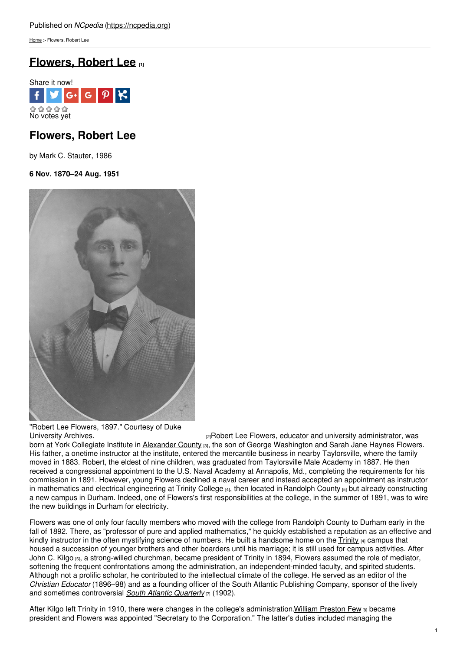[Home](https://ncpedia.org/) > Flowers, Robert Lee

## **[Flowers,](https://ncpedia.org/biography/flowers-robert-lee) Robert Lee [1]**



## **Flowers, Robert Lee**

by Mark C. Stauter, 1986

### **6 Nov. 1870–24 Aug. 1951**



# "Robert Lee Flowers, 1897." Courtesy of Duke

[University](https://www.flickr.com/photos/dukeyearlook/4840733339/) Archives. The Community of the Community administrator, was university administrator, was born at York Collegiate Institute in [Alexander](https://ncpedia.org/geography/alexander) County [3], the son of George Washington and Sarah Jane Haynes Flowers. His father, a onetime instructor at the institute, entered the mercantile business in nearby Taylorsville, where the family moved in 1883. Robert, the eldest of nine children, was graduated from Taylorsville Male Academy in 1887. He then received a congressional appointment to the U.S. Naval Academy at Annapolis, Md., completing the requirements for his commission in 1891. However, young Flowers declined a naval career and instead accepted an appointment as instructor in mathematics and electrical engineering at Trinity [College](https://ncpedia.org/trinity-college) [4], then located in [Randolph](https://ncpedia.org/geography/randolph) County [5] but already constructing a new campus in Durham. Indeed, one of Flowers's first responsibilities at the college, in the summer of 1891, was to wire the new buildings in Durham for electricity.

Flowers was one of only four faculty members who moved with the college from Randolph County to Durham early in the fall of 1892. There, as "professor of pure and applied mathematics," he quickly established a reputation as an effective and kindly instructor in the often mystifying science of numbers. He built a handsome home on the  $\overline{\text{Trinity}}$  $\overline{\text{Trinity}}$  $\overline{\text{Trinity}}$  [4] campus that housed a succession of younger brothers and other boarders until his marriage; it is still used for campus activities. After [John](https://ncpedia.org/biography/kilgo-john-carlisle) C. Kilgo [6], a strong-willed churchman, became president of Trinity in 1894, Flowers assumed the role of mediator, softening the frequent confrontations among the administration, an independent-minded faculty, and spirited students. Although not a prolific scholar, he contributed to the intellectual climate of the college. He served as an editor of the *Christian Educator* (1896–98) and as a founding officer of the South Atlantic Publishing Company, sponsor of the lively and sometimes controversial *South Atlantic [Quarterly](http://saq.dukejournals.org/)* [7] (1902).

After Kilgo left Trinity in 1910, there were changes in the college's administration. William [Preston](https://ncpedia.org/biography/few-william-preston) Few [8] became president and Flowers was appointed "Secretary to the Corporation." The latter's duties included managing the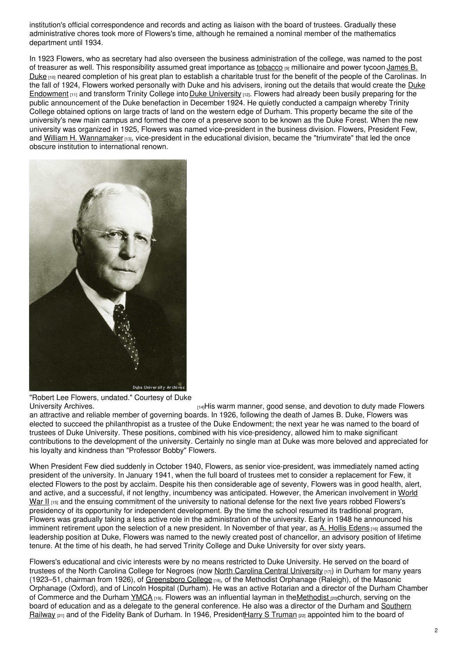institution's official correspondence and records and acting as liaison with the board of trustees. Gradually these administrative chores took more of Flowers's time, although he remained a nominal member of the mathematics department until 1934.

In 1923 Flowers, who as secretary had also overseen the business administration of the college, was named to the post of treasurer as well. This [responsibility](https://ncpedia.org/biography/duke-james-buchanan) assumed great importance as [tobacco](https://ncpedia.org/tobacco) [9] millionaire and power tycoon James B. Duke  $[10]$  neared completion of his great plan to establish a charitable trust for the benefit of the people of the Carolinas. In the fall of 1924, Flowers worked personally with Duke and his advisers, ironing out the details that would create the Duke [Endowment](https://ncpedia.org/duke-endowment)  $_{[11]}$  and transform Trinity College into Duke [University](https://ncpedia.org/duke-university)  $_{[12]}$ . Flowers had already been busily preparing for the public announcement of the Duke benefaction in December 1924. He quietly conducted a campaign whereby Trinity College obtained options on large tracts of land on the western edge of Durham. This property became the site of the university's new main campus and formed the core of a preserve soon to be known as the Duke Forest. When the new university was organized in 1925, Flowers was named vice-president in the business division. Flowers, President Few, and William H. [Wannamaker](https://ncpedia.org/biography/wannamaker-william-hane) [13], vice-president in the educational division, became the "triumvirate" that led the once obscure institution to international renown.



"Robert Lee Flowers, undated." Courtesy of Duke

[University](https://www.flickr.com/photos/dukeyearlook/3331360678/) Archives. The Chinage of the Howers is the Home manner, good sense, and devotion to duty made Flowers an attractive and reliable member of governing boards. In 1926, following the death of James B. Duke, Flowers was elected to succeed the philanthropist as a trustee of the Duke Endowment; the next year he was named to the board of trustees of Duke University. These positions, combined with his vice-presidency, allowed him to make significant contributions to the development of the university. Certainly no single man at Duke was more beloved and appreciated for his loyalty and kindness than "Professor Bobby" Flowers.

When President Few died suddenly in October 1940, Flowers, as senior vice-president, was immediately named acting president of the university. In January 1941, when the full board of trustees met to consider a replacement for Few, it elected Flowers to the post by acclaim. Despite his then considerable age of seventy, Flowers was in good health, alert, and active, and a successful, if not lengthy, incumbency was anticipated. However, the American involvement in World War II [15] and the ensuing [commitment](https://ncpedia.org/world-war-ii) of the university to national defense for the next five years robbed Flowers's presidency of its opportunity for independent development. By the time the school resumed its traditional program, Flowers was gradually taking a less active role in the administration of the university. Early in 1948 he announced his imminent retirement upon the selection of a new president. In November of that year, as A. Hollis [Edens](https://ncpedia.org/biography/edens-arthur-hollis) <sub>[16]</sub> assumed the leadership position at Duke, Flowers was named to the newly created post of chancellor, an advisory position of lifetime tenure. At the time of his death, he had served Trinity College and Duke University for over sixty years.

Flowers's educational and civic interests were by no means restricted to Duke University. He served on the board of trustees of the North Carolina College for Negroes (now North Carolina Central [University](https://ncpedia.org/north-carolina-central-university) [17]) in Durham for many years (1923–51, chairman from 1926), of [Greensboro](https://ncpedia.org/greensboro-college) College [18], of the Methodist Orphanage (Raleigh), of the Masonic Orphanage (Oxford), and of Lincoln Hospital (Durham). He was an active Rotarian and a director of the Durham Chamber of Commerce and the Durham [YMCA](https://ncpedia.org/ymca-and-ywca) [19]. Flowers was an influential layman in the Methodist [20]church, serving on the board of education and as a delegate to the general conference. He also was a director of the Durham and Southern Railway [21] and of the Fidelity Bank of Durham. In 1946, [PresidentHarry](https://ncpedia.org/southern-railway-system) S [Truman](https://www.whitehouse.gov/about/presidents/harrystruman) [22] appointed him to the board of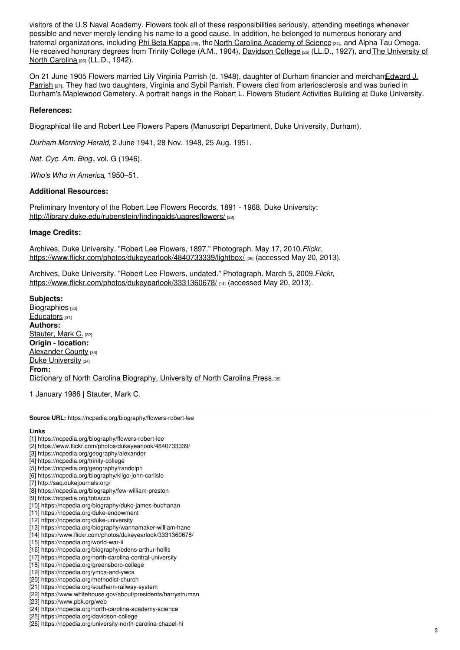visitors of the U.S Naval Academy. Flowers took all of these responsibilities seriously, attending meetings whenever possible and never merely lending his name to a good cause. In addition, he belonged to numerous honorary and fraternal organizations, including Phi Beta [Kappa](https://www.pbk.org/web) [23], the North Carolina [Academy](https://ncpedia.org/north-carolina-academy-science) of Science [24], and Alpha Tau Omega. He received honorary degrees from Trinity College (A.M., 1904), [Davidson](https://ncpedia.org/davidson-college) College [25] (LL.D., 1927), and The [University](https://ncpedia.org/university-north-carolina-chapel-hi) of North Carolina [26] (LL.D., 1942).

On 21 June 1905 Flowers married Lily Virginia Parrish (d. 1948), daughter of Durham financier and [merchantEdward](https://ncpedia.org/biography/parrish-edward-james) J. Parrish [27]. They had two daughters, Virginia and Sybil Parrish. Flowers died from arteriosclerosis and was buried in Durham's Maplewood Cemetery. A portrait hangs in the Robert L. Flowers Student Activities Building at Duke University.

#### **References:**

Biographical file and Robert Lee Flowers Papers (Manuscript Department, Duke University, Durham).

*Durham Morning Herald*, 2 June 1941, 28 Nov. 1948, 25 Aug. 1951.

*Nat. Cyc. Am. Biog.*, vol. G (1946).

*Who's Who in America*, 1950–51.

#### **Additional Resources:**

Preliminary Inventory of the Robert Lee Flowers Records, 1891 - 1968, Duke University: <http://library.duke.edu/rubenstein/findingaids/uapresflowers/>

#### **Image Credits:**

Archives, Duke University. "Robert Lee Flowers, 1897." Photograph. May 17, 2010.*Flickr,* <https://www.flickr.com/photos/dukeyearlook/4840733339/lightbox/> [29] (accessed May 20, 2013).

Archives, Duke University. "Robert Lee Flowers, undated." Photograph. March 5, 2009.*Flickr,* <https://www.flickr.com/photos/dukeyearlook/3331360678/> [14] (accessed May 20, 2013).

**Subjects:** [Biographies](https://ncpedia.org/category/subjects/biography-term) [30] [Educators](https://ncpedia.org/category/subjects/educators) [31] **Authors:** [Stauter,](https://ncpedia.org/category/authors/stauter-mark-c) Mark C. [32] **Origin - location:** [Alexander](https://ncpedia.org/category/origin-location/piedmon-14) County [33] Duke [University](https://ncpedia.org/category/origin-location/piedmon-34) [34] **From:** Dictionary of North Carolina [Biography,](https://ncpedia.org/category/entry-source/dictionary-no) University of North Carolina Press.[35]

1 January 1986 | Stauter, Mark C.

**Source URL:** https://ncpedia.org/biography/flowers-robert-lee

#### **Links**

- [1] https://ncpedia.org/biography/flowers-robert-lee
- [2] https://www.flickr.com/photos/dukeyearlook/4840733339/
- [3] https://ncpedia.org/geography/alexander
- [4] https://ncpedia.org/trinity-college
- [5] https://ncpedia.org/geography/randolph
- [6] https://ncpedia.org/biography/kilgo-john-carlisle
- [7] http://saq.dukejournals.org/
- [8] https://ncpedia.org/biography/few-william-preston
- [9] https://ncpedia.org/tobacco
- [10] https://ncpedia.org/biography/duke-james-buchanan
- [11] https://ncpedia.org/duke-endowment
- [12] https://ncpedia.org/duke-university
- [13] https://ncpedia.org/biography/wannamaker-william-hane [14] https://www.flickr.com/photos/dukeyearlook/3331360678/
- [15] https://ncpedia.org/world-war-ii
- [16] https://ncpedia.org/biography/edens-arthur-hollis
- [17] https://ncpedia.org/north-carolina-central-university
- [18] https://ncpedia.org/greensboro-college
- [19] https://ncpedia.org/ymca-and-ywca
- [20] https://ncpedia.org/methodist-church
- [21] https://ncpedia.org/southern-railway-system
- [22] https://www.whitehouse.gov/about/presidents/harrystruman
- [23] https://www.pbk.org/web
- [24] https://ncpedia.org/north-carolina-academy-science
- [25] https://ncpedia.org/davidson-college
- [26] https://ncpedia.org/university-north-carolina-chapel-hi